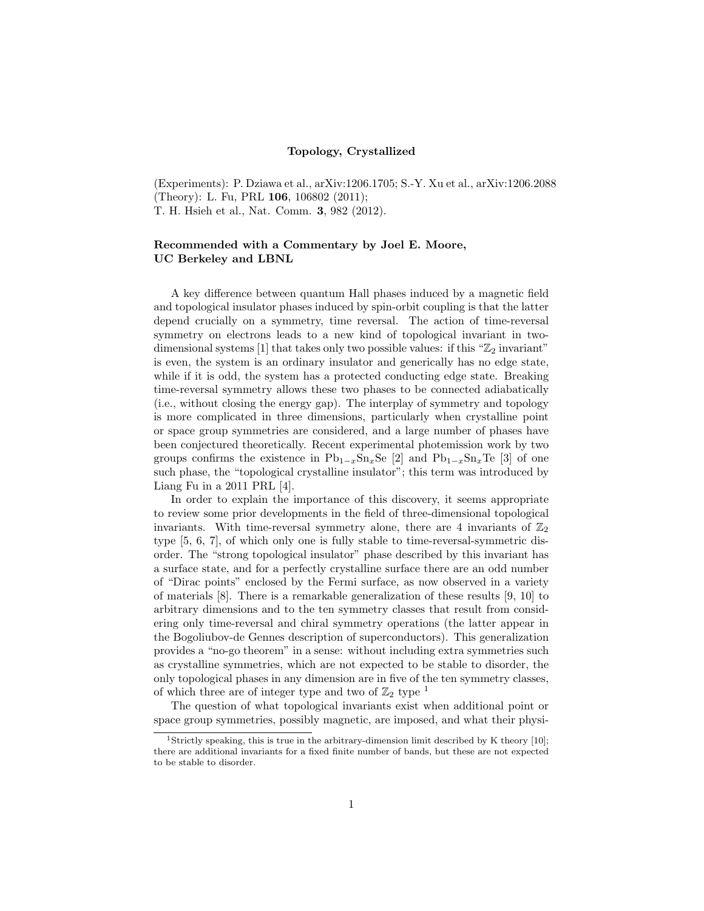## Topology, Crystallized

(Experiments): P. Dziawa et al., arXiv:1206.1705; S.-Y. Xu et al., arXiv:1206.2088 (Theory): L. Fu, PRL 106, 106802 (2011); T. H. Hsieh et al., Nat. Comm. 3, 982 (2012).

## Recommended with a Commentary by Joel E. Moore, UC Berkeley and LBNL

A key difference between quantum Hall phases induced by a magnetic field and topological insulator phases induced by spin-orbit coupling is that the latter depend crucially on a symmetry, time reversal. The action of time-reversal symmetry on electrons leads to a new kind of topological invariant in twodimensional systems [1] that takes only two possible values: if this " $\mathbb{Z}_2$  invariant" is even, the system is an ordinary insulator and generically has no edge state, while if it is odd, the system has a protected conducting edge state. Breaking time-reversal symmetry allows these two phases to be connected adiabatically (i.e., without closing the energy gap). The interplay of symmetry and topology is more complicated in three dimensions, particularly when crystalline point or space group symmetries are considered, and a large number of phases have been conjectured theoretically. Recent experimental photemission work by two groups confirms the existence in  $\text{Pb}_{1-x}\text{Sn}_x\text{Se}$  [2] and  $\text{Pb}_{1-x}\text{Sn}_x\text{Te}$  [3] of one such phase, the "topological crystalline insulator"; this term was introduced by Liang Fu in a 2011 PRL [4].

In order to explain the importance of this discovery, it seems appropriate to review some prior developments in the field of three-dimensional topological invariants. With time-reversal symmetry alone, there are 4 invariants of  $\mathbb{Z}_2$ type [5, 6, 7], of which only one is fully stable to time-reversal-symmetric disorder. The "strong topological insulator" phase described by this invariant has a surface state, and for a perfectly crystalline surface there are an odd number of "Dirac points" enclosed by the Fermi surface, as now observed in a variety of materials [8]. There is a remarkable generalization of these results [9, 10] to arbitrary dimensions and to the ten symmetry classes that result from considering only time-reversal and chiral symmetry operations (the latter appear in the Bogoliubov-de Gennes description of superconductors). This generalization provides a "no-go theorem" in a sense: without including extra symmetries such as crystalline symmetries, which are not expected to be stable to disorder, the only topological phases in any dimension are in five of the ten symmetry classes, of which three are of integer type and two of  $\mathbb{Z}_2$  type <sup>1</sup>

The question of what topological invariants exist when additional point or space group symmetries, possibly magnetic, are imposed, and what their physi-

<sup>&</sup>lt;sup>1</sup>Strictly speaking, this is true in the arbitrary-dimension limit described by K theory  $[10]$ ; there are additional invariants for a fixed finite number of bands, but these are not expected to be stable to disorder.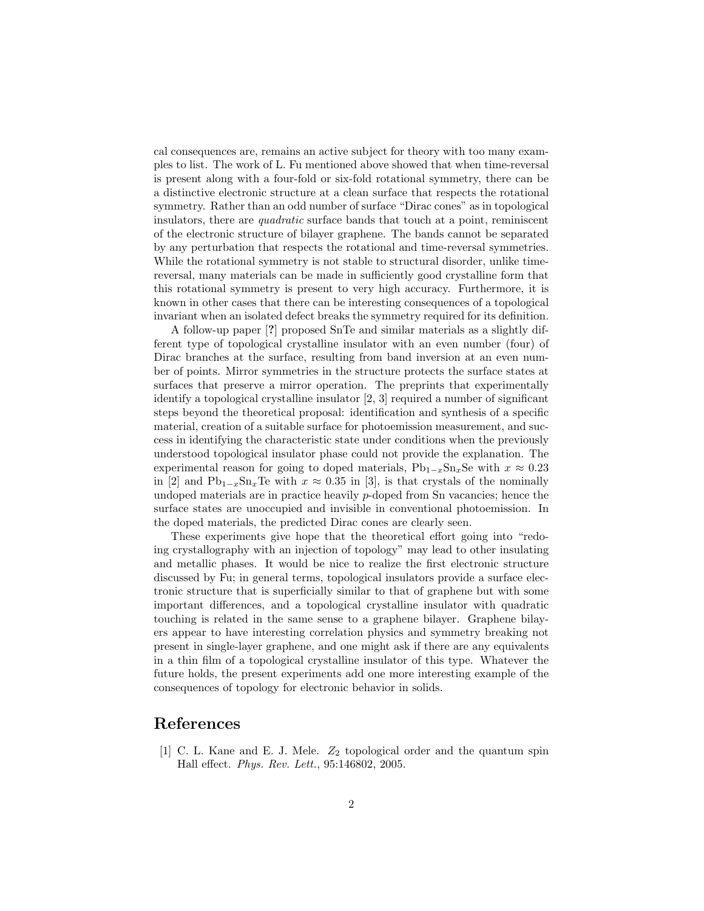cal consequences are, remains an active subject for theory with too many examples to list. The work of L. Fu mentioned above showed that when time-reversal is present along with a four-fold or six-fold rotational symmetry, there can be a distinctive electronic structure at a clean surface that respects the rotational symmetry. Rather than an odd number of surface "Dirac cones" as in topological insulators, there are quadratic surface bands that touch at a point, reminiscent of the electronic structure of bilayer graphene. The bands cannot be separated by any perturbation that respects the rotational and time-reversal symmetries. While the rotational symmetry is not stable to structural disorder, unlike timereversal, many materials can be made in sufficiently good crystalline form that this rotational symmetry is present to very high accuracy. Furthermore, it is known in other cases that there can be interesting consequences of a topological invariant when an isolated defect breaks the symmetry required for its definition.

A follow-up paper [?] proposed SnTe and similar materials as a slightly different type of topological crystalline insulator with an even number (four) of Dirac branches at the surface, resulting from band inversion at an even number of points. Mirror symmetries in the structure protects the surface states at surfaces that preserve a mirror operation. The preprints that experimentally identify a topological crystalline insulator [2, 3] required a number of significant steps beyond the theoretical proposal: identification and synthesis of a specific material, creation of a suitable surface for photoemission measurement, and success in identifying the characteristic state under conditions when the previously understood topological insulator phase could not provide the explanation. The experimental reason for going to doped materials,  $Pb_{1-x}Sn_xSe$  with  $x \approx 0.23$ in [2] and Pb<sub>1−x</sub>Sn<sub>x</sub>Te with  $x \approx 0.35$  in [3], is that crystals of the nominally undoped materials are in practice heavily p-doped from Sn vacancies; hence the surface states are unoccupied and invisible in conventional photoemission. In the doped materials, the predicted Dirac cones are clearly seen.

These experiments give hope that the theoretical effort going into "redoing crystallography with an injection of topology" may lead to other insulating and metallic phases. It would be nice to realize the first electronic structure discussed by Fu; in general terms, topological insulators provide a surface electronic structure that is superficially similar to that of graphene but with some important differences, and a topological crystalline insulator with quadratic touching is related in the same sense to a graphene bilayer. Graphene bilayers appear to have interesting correlation physics and symmetry breaking not present in single-layer graphene, and one might ask if there are any equivalents in a thin film of a topological crystalline insulator of this type. Whatever the future holds, the present experiments add one more interesting example of the consequences of topology for electronic behavior in solids.

## References

[1] C. L. Kane and E. J. Mele.  $Z_2$  topological order and the quantum spin Hall effect. Phys. Rev. Lett., 95:146802, 2005.